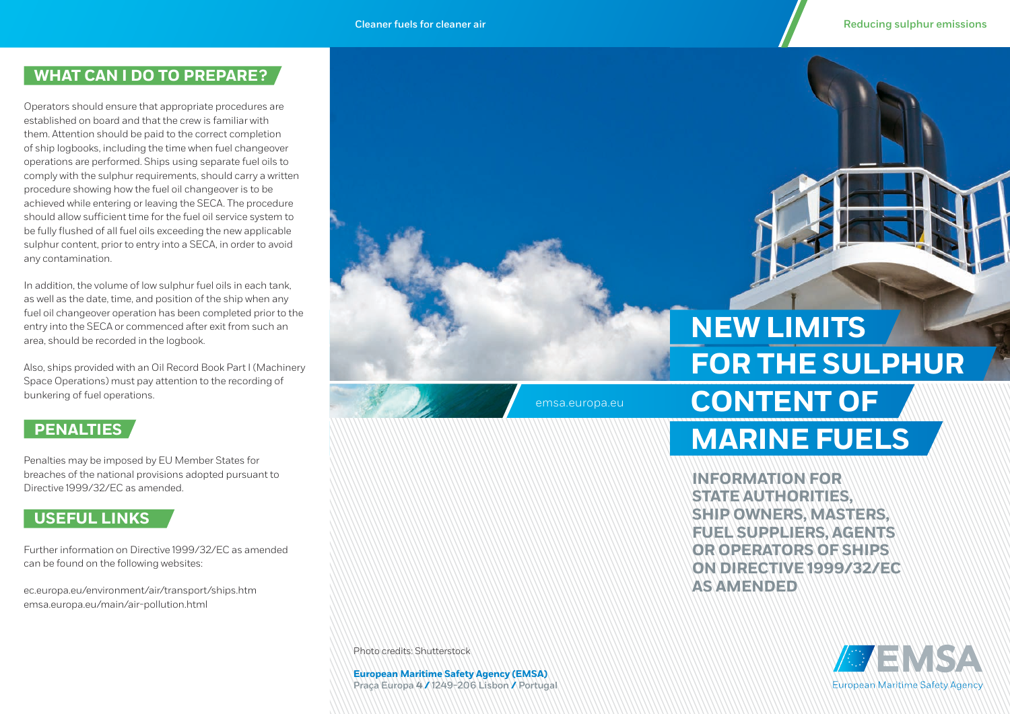#### **WHAT CAN I DO TO PREPARE ?**

Operators should ensure that appropriate procedures are established on board and that the crew is familiar with them. Attention should be paid to the correct completion of ship logbooks, including the time when fuel changeover operations are performed. Ships using separate fuel oils to comply with the sulphur requirements, should carry a written procedure showing how the fuel oil changeover is to be achieved while entering or leaving the SECA. The procedure should allow sufficient time for the fuel oil service system to be fully flushed of all fuel oils exceeding the new applicable sulphur content, prior to entry into a SECA, in order to avoid any contamination.

In addition, the volume of low sulphur fuel oils in each tank, as well as the date, time, and position of the ship when any fuel oil changeover operation has been completed prior to the entry into the SECA or commenced after exit from such an area, should be recorded in the logbook.

Also, ships provided with an Oil Record Book Part I (Machinery Space Operations) must pay attention to the recording of bunkering of fuel operations.

## **PENALTIES**

Penalties may be imposed by EU Member States for breaches of the national provisions adopted pursuant to Directive 1999/32/EC as amended.

## **USEFUL LINKS**

Further information on Directive 1999/32/EC as amended can be found on the following websites:

[ec.europa.eu/environment/air/transport/ships.htm](http://ec.europa.eu/environment/air/transport/ships.htm) [emsa.europa.eu/main/air-pollution.html](http://emsa.europa.eu/main/air-pollution.html)

**FOR THE SULPHUR CONTENT OF NEW LIMITS**

> **INFORMATION FOR STATE AUTHORITIES, SHIP OWNERS, MASTERS, FUEL SUPPLIERS, AGENTS OR OPERATORS OF SHIPS ON DIRECTIVE 1999/32/EC AS AMENDED**

**MARINE FUELS**



Photo credits: Shutterstock

**European Maritime Safety Agency (EMSA)**  Praça Europa **4 /** 1249-206 Lisbon **/** Portugal

emsa.europa.eu